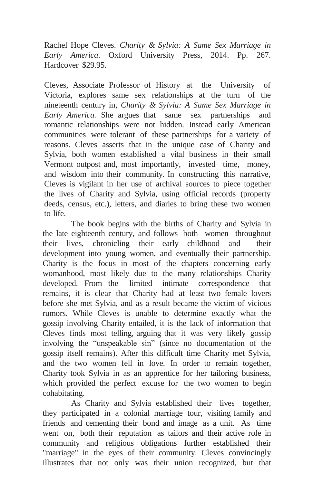Rachel Hope Cleves. *Charity & Sylvia: A Same Sex Marriage in Early America*. Oxford University Press, 2014. Pp. 267. Hardcover \$29.95.

Cleves, Associate Professor of History at the University of Victoria, explores same sex relationships at the turn of the nineteenth century in, *Charity & Sylvia: A Same Sex Marriage in Early America.* She argues that same sex partnerships and romantic relationships were not hidden. Instead early American communities were tolerant of these partnerships for a variety of reasons. Cleves asserts that in the unique case of Charity and Sylvia, both women established a vital business in their small Vermont outpost and, most importantly, invested time, money, and wisdom into their community. In constructing this narrative, Cleves is vigilant in her use of archival sources to piece together the lives of Charity and Sylvia, using official records (property deeds, census, etc.), letters, and diaries to bring these two women to life.

The book begins with the births of Charity and Sylvia in the late eighteenth century, and follows both women throughout their lives, chronicling their early childhood and their development into young women, and eventually their partnership. Charity is the focus in most of the chapters concerning early womanhood, most likely due to the many relationships Charity developed. From the limited intimate correspondence that remains, it is clear that Charity had at least two female lovers before she met Sylvia, and as a result became the victim of vicious rumors. While Cleves is unable to determine exactly what the gossip involving Charity entailed, it is the lack of information that Cleves finds most telling, arguing that it was very likely gossip involving the "unspeakable sin" (since no documentation of the gossip itself remains). After this difficult time Charity met Sylvia, and the two women fell in love. In order to remain together, Charity took Sylvia in as an apprentice for her tailoring business, which provided the perfect excuse for the two women to begin cohabitating.

As Charity and Sylvia established their lives together, they participated in a colonial marriage tour, visiting family and friends and cementing their bond and image as a unit. As time went on, both their reputation as tailors and their active role in community and religious obligations further established their "marriage" in the eyes of their community. Cleves convincingly illustrates that not only was their union recognized, but that